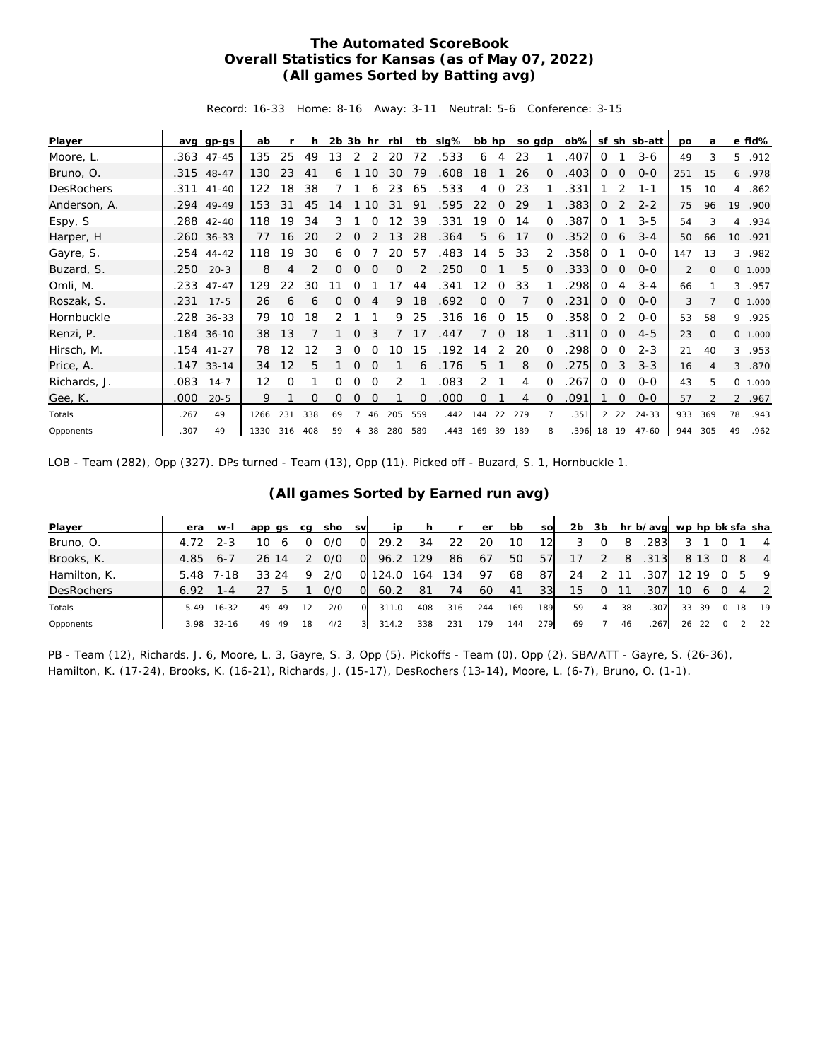## **The Automated ScoreBook Overall Statistics for Kansas (as of May 07, 2022) (All games Sorted by Batting avg)**

Record: 16-33 Home: 8-16 Away: 3-11 Neutral: 5-6 Conference: 3-15

| Player            | ava  | gp-gs        | ab                |     | h        | $2b$ $3b$ hr |          |          | rbi | tb           | slg%              | bb hp           |                |     | so gdp   | $ob\%$ |              |                | sf sh sb-att | <b>DO</b> | a            |                 | e fld%  |
|-------------------|------|--------------|-------------------|-----|----------|--------------|----------|----------|-----|--------------|-------------------|-----------------|----------------|-----|----------|--------|--------------|----------------|--------------|-----------|--------------|-----------------|---------|
| Moore, L.         | .363 | $47 - 45$    | 135               | 25  | 49       | 13           | 2        | 2        | 20  | 72           | .533              | 6               | 4              | 23  |          | .407   | $\Omega$     |                | $3 - 6$      | 49        | 3            | 5.              | .912    |
| Bruno, O.         |      | .315 48-47   | 130               | 23  | 41       | 6            |          | 10       | 30  | 79           | .608              | 18              |                | 26  | $\Omega$ | .403   | $\Omega$     | $\Omega$       | $O - O$      | 251       | 15           | 6               | .978    |
| <b>DesRochers</b> |      | .311 41-40   | 122               | 18  | 38       |              |          | 6        | 23  | 65           | .533              | 4               | $\Omega$       | 23  |          | .331   |              | 2              | 1-1          | 15        | 10           | $\overline{4}$  | .862    |
| Anderson, A.      |      | .294 49-49   | 153               | 31  | 45       | 14           |          | 10       | 31  | 91           | .595              | 22              | $\circ$        | 29  |          | .383   | $\mathbf{0}$ | 2              | $2 - 2$      | 75        | 96           | 19              | .900    |
| Espy, S           |      | .288 42-40   | 118               | 19  | 34       | 3            |          | $\Omega$ | 12  | 39           | .331              | 19              | $\Omega$       | 14  | $\Omega$ | .387   | $\Omega$     |                | $3 - 5$      | 54        | 3            | $\overline{4}$  | .934    |
| Harper, H         |      | .260 36-33   | 77                | 16  | 20       | 2            | $\Omega$ | 2        | 13  | 28           | .364              | 5               | 6              | 17  | $\Omega$ | .352   | $\mathbf{0}$ | 6              | $3 - 4$      | 50        | 66           | 10 <sup>°</sup> | .921    |
| Gayre, S.         |      | $.254$ 44-42 | 118               | 19  | 30       | 6            | $\Omega$ |          | 20  | 57           | .483              | 14              | 5              | 33  | 2        | .358   | $\Omega$     |                | $0 - 0$      | 147       | 13           |                 | 3 .982  |
| Buzard, S.        | .250 | $20 - 3$     | 8                 | 4   | 2        | 0            | $\Omega$ | $\Omega$ | 0   | 2            | .250              | $\circ$         |                | 5   | $\Omega$ | .333   | 0            | $\circ$        | $0 - 0$      | 2         | $\mathbf{0}$ |                 | 0 1.000 |
| Omli, M.          | .233 | $47 - 47$    | 129               | 22  | 30       | 11           | $\Omega$ |          | 17  | 44           | .341              | 12 <sup>2</sup> | $\Omega$       | 33  |          | .298   | $\Omega$     | 4              | $3 - 4$      | 66        |              |                 | 3 .957  |
| Roszak, S.        | .231 | $17 - 5$     | 26                | 6   | 6        | 0            | $\Omega$ | 4        | 9   | 18           | .692              | $\circ$         | $\Omega$       |     | $\Omega$ | .231   | $\mathbf{0}$ | $\overline{0}$ | $O - O$      | 3         |              |                 | 0 1.000 |
| Hornbuckle        |      | .228 36-33   | 79                | 10  | 18       | 2            |          |          | 9   | 25           | .316              | 16              | $\overline{O}$ | 15  | $\Omega$ | .358   | $\Omega$     | 2              | $O-O$        | 53        | 58           |                 | 9 .925  |
| Renzi, P.         |      | .184 36-10   | 38                | 13  |          |              | $\Omega$ | 3        |     | 17           | .447              | $\overline{7}$  | $\circ$        | 18  |          | .311   | $\mathbf{0}$ | $\circ$        | $4 - 5$      | 23        | $\mathbf{O}$ |                 | 0 1.000 |
| Hirsch, M.        |      | .154 41-27   | 78                | 12  | 12       | 3            | $\Omega$ | $\Omega$ | 10  | 15           | .192              | 14              | 2              | 20  | $\Omega$ | .298   | $\circ$      | $\circ$        | $2 - 3$      | 21        | 40           | $\mathcal{E}$   | .953    |
| Price, A.         |      | $.147$ 33-14 | 34                | 12  | 5        |              | $\Omega$ | $\Omega$ |     | 6            | .176              | 5               |                | 8   | 0        | .275   | $\mathbf{0}$ | 3              | $3 - 3$      | 16        | 4            | 3               | .870    |
| Richards, J.      | .083 | $14 - 7$     | $12 \overline{ }$ | Ω   |          | Ω            | 0        | 0        | 2   |              | .083              | $\overline{2}$  |                | 4   | $\Omega$ | .267   | $\Omega$     | $\circ$        | $0-0$        | 43        | 5            |                 | 0 1.000 |
| Gee, K.           | .000 | $20 - 5$     | 9                 |     | $\Omega$ | 0            | 0        | 0        |     | $\mathbf{0}$ | .000 <sub>1</sub> | 0               |                | 4   | $\Omega$ | .091   |              | 0              | $0 - 0$      | 57        |              |                 | 2 .967  |
| Totals            | .267 | 49           | 1266              | 231 | 338      | 69           |          | 46       | 205 | 559          | .442              | 144             | 22             | 279 |          | .351   |              | $2 \t22$       | 24-33        | 933       | 369          | 78              | .943    |
| Opponents         | .307 | 49           | 1330              | 316 | 408      | 59           | 4        | 38       | 280 | 589          |                   | .443 169 39 189 |                |     | 8        | .396   | 18 19        |                | 47-60        | 944       | 305          | 49              | .962    |

LOB - Team (282), Opp (327). DPs turned - Team (13), Opp (11). Picked off - Buzard, S. 1, Hornbuckle 1.

| Player            | era  | $W-I$     | app qs   | ca | sho | <b>SV</b> | ip    | h.  |        | er  | bb  | sol | 2b |          |    | 3b hr b/avg wp hp bk sfa sha |       |          |      |                |
|-------------------|------|-----------|----------|----|-----|-----------|-------|-----|--------|-----|-----|-----|----|----------|----|------------------------------|-------|----------|------|----------------|
| Bruno, O.         | 4.72 | $2 - 3$   | 10       |    | 0/0 | O.        | 29.2  | 34  | 22     | 20  | 10  | 12  |    | $\Omega$ | 8  | .283                         |       |          |      | $\overline{4}$ |
| Brooks, K.        | 4.85 | $6 - 7$   | 26 14    |    | 0/0 | $\Omega$  | 96.2  | 129 | 86     | 67  | 50  | 57  | 17 | 2        | 8  | .313                         |       | 8 1 3    | -8   | $\overline{4}$ |
| Hamilton, K.      | 5.48 | 7-18      | 33<br>24 | Q  | 2/0 | O.        | 124.0 | 164 | 134    | -97 | 68  | 87  | 24 |          | 11 | .307                         | 12 19 |          | 5    | - 9            |
| <b>DesRochers</b> | 6.92 | l - 4     |          |    | 0/0 | O         | 60.2  | -81 | 74     | 60  | 41  | 331 | 15 | $\Omega$ | 11 | .307                         | 10    | $\sigma$ |      | $\overline{2}$ |
| Totals            | 5.49 | $16 - 32$ | 49<br>49 | 12 | 2/0 | $\Omega$  | 311.0 | 408 | 316    | 244 | 169 | 189 | 59 | 4        | 38 | .307                         |       | 33 39    | 0 18 | 19             |
| Opponents         | 3.98 | $32 - 16$ | 49<br>49 | 18 | 4/2 | 31        | 314.2 | 338 | $23 -$ | 179 | 144 | 279 | 69 |          | 46 | .267                         | 26    |          |      | 22             |

## **(All games Sorted by Earned run avg)**

PB - Team (12), Richards, J. 6, Moore, L. 3, Gayre, S. 3, Opp (5). Pickoffs - Team (0), Opp (2). SBA/ATT - Gayre, S. (26-36), Hamilton, K. (17-24), Brooks, K. (16-21), Richards, J. (15-17), DesRochers (13-14), Moore, L. (6-7), Bruno, O. (1-1).